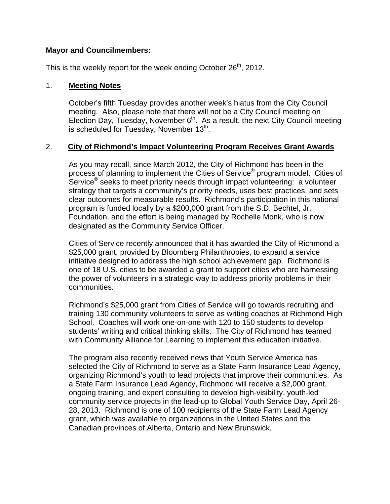### **Mayor and Councilmembers:**

This is the weekly report for the week ending October  $26<sup>th</sup>$ , 2012.

#### 1. **Meeting Notes**

October's fifth Tuesday provides another week's hiatus from the City Council meeting. Also, please note that there will not be a City Council meeting on Election Day, Tuesday, November  $6<sup>th</sup>$ . As a result, the next City Council meeting is scheduled for Tuesday, November  $13<sup>th</sup>$ .

### 2. **City of Richmond's Impact Volunteering Program Receives Grant Awards**

As you may recall, since March 2012, the City of Richmond has been in the process of planning to implement the Cities of Service® program model. Cities of Service® seeks to meet priority needs through impact volunteering: a volunteer strategy that targets a community's priority needs, uses best practices, and sets clear outcomes for measurable results. Richmond's participation in this national program is funded locally by a \$200,000 grant from the S.D. Bechtel, Jr. Foundation, and the effort is being managed by Rochelle Monk, who is now designated as the Community Service Officer.

Cities of Service recently announced that it has awarded the City of Richmond a \$25,000 grant, provided by Bloomberg Philanthropies, to expand a service initiative designed to address the high school achievement gap. Richmond is one of 18 U.S. cities to be awarded a grant to support cities who are harnessing the power of volunteers in a strategic way to address priority problems in their communities.

Richmond's \$25,000 grant from Cities of Service will go towards recruiting and training 130 community volunteers to serve as writing coaches at Richmond High School. Coaches will work one-on-one with 120 to 150 students to develop students' writing and critical thinking skills. The City of Richmond has teamed with Community Alliance for Learning to implement this education initiative.

The program also recently received news that Youth Service America has selected the City of Richmond to serve as a State Farm Insurance Lead Agency, organizing Richmond's youth to lead projects that improve their communities. As a State Farm Insurance Lead Agency, Richmond will receive a \$2,000 grant, ongoing training, and expert consulting to develop high-visibility, youth-led community service projects in the lead-up to Global Youth Service Day, April 26- 28, 2013. Richmond is one of 100 recipients of the State Farm Lead Agency grant, which was available to organizations in the United States and the Canadian provinces of Alberta, Ontario and New Brunswick.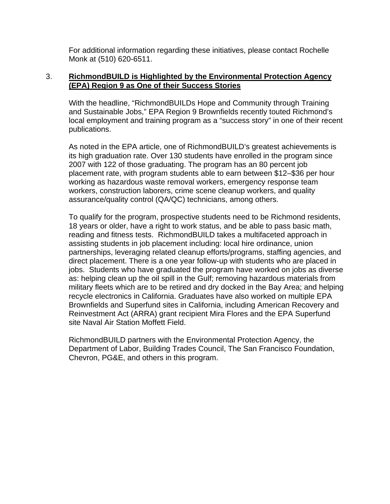For additional information regarding these initiatives, please contact Rochelle Monk at (510) 620-6511.

### 3. **RichmondBUILD is Highlighted by the Environmental Protection Agency (EPA) Region 9 as One of their Success Stories**

With the headline, "RichmondBUILDs Hope and Community through Training and Sustainable Jobs," EPA Region 9 Brownfields recently touted Richmond's local employment and training program as a "success story" in one of their recent publications.

As noted in the EPA article, one of RichmondBUILD's greatest achievements is its high graduation rate. Over 130 students have enrolled in the program since 2007 with 122 of those graduating. The program has an 80 percent job placement rate, with program students able to earn between \$12–\$36 per hour working as hazardous waste removal workers, emergency response team workers, construction laborers, crime scene cleanup workers, and quality assurance/quality control (QA/QC) technicians, among others.

To qualify for the program, prospective students need to be Richmond residents, 18 years or older, have a right to work status, and be able to pass basic math, reading and fitness tests. RichmondBUILD takes a multifaceted approach in assisting students in job placement including: local hire ordinance, union partnerships, leveraging related cleanup efforts/programs, staffing agencies, and direct placement. There is a one year follow-up with students who are placed in jobs. Students who have graduated the program have worked on jobs as diverse as: helping clean up the oil spill in the Gulf; removing hazardous materials from military fleets which are to be retired and dry docked in the Bay Area; and helping recycle electronics in California. Graduates have also worked on multiple EPA Brownfields and Superfund sites in California, including American Recovery and Reinvestment Act (ARRA) grant recipient Mira Flores and the EPA Superfund site Naval Air Station Moffett Field.

RichmondBUILD partners with the Environmental Protection Agency, the Department of Labor, Building Trades Council, The San Francisco Foundation, Chevron, PG&E, and others in this program.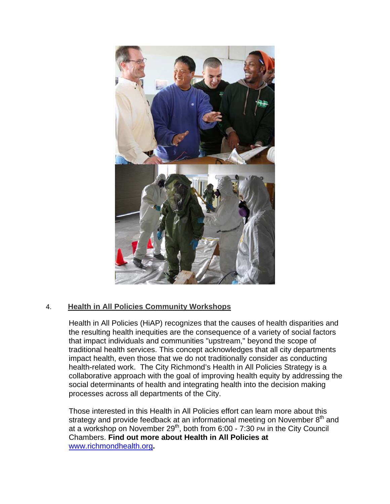

# 4. **Health in All Policies Community Workshops**

Health in All Policies (HiAP) recognizes that the causes of health disparities and the resulting health inequities are the consequence of a variety of social factors that impact individuals and communities "upstream," beyond the scope of traditional health services. This concept acknowledges that all city departments impact health, even those that we do not traditionally consider as conducting health-related work. The City Richmond's Health in All Policies Strategy is a collaborative approach with the goal of improving health equity by addressing the social determinants of health and integrating health into the decision making processes across all departments of the City.

Those interested in this Health in All Policies effort can learn more about this strategy and provide feedback at an informational meeting on November  $8<sup>th</sup>$  and at a workshop on November  $29<sup>th</sup>$ , both from 6:00 - 7:30 PM in the City Council Chambers. **Find out more about Health in All Policies at**  www.richmondhealth.org**.**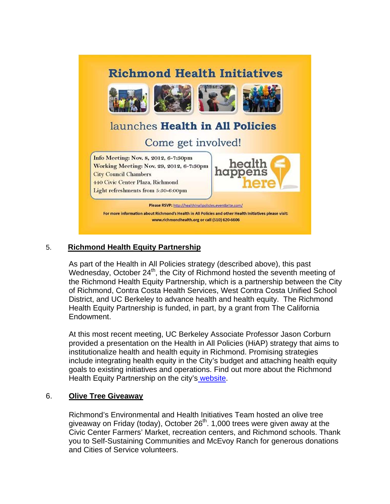

### 5. **Richmond Health Equity Partnership**

As part of the Health in All Policies strategy (described above), this past Wednesday, October  $24<sup>th</sup>$ , the City of Richmond hosted the seventh meeting of the Richmond Health Equity Partnership, which is a partnership between the City of Richmond, Contra Costa Health Services, West Contra Costa Unified School District, and UC Berkeley to advance health and health equity. The Richmond Health Equity Partnership is funded, in part, by a grant from The California Endowment.

At this most recent meeting, UC Berkeley Associate Professor Jason Corburn provided a presentation on the Health in All Policies (HiAP) strategy that aims to institutionalize health and health equity in Richmond. Promising strategies include integrating health equity in the City's budget and attaching health equity goals to existing initiatives and operations. Find out more about the Richmond Health Equity Partnership on the city's website.

# 6. **Olive Tree Giveaway**

Richmond's Environmental and Health Initiatives Team hosted an olive tree giveaway on Friday (today), October  $26<sup>th</sup>$ . 1,000 trees were given away at the Civic Center Farmers' Market, recreation centers, and Richmond schools. Thank you to Self-Sustaining Communities and McEvoy Ranch for generous donations and Cities of Service volunteers.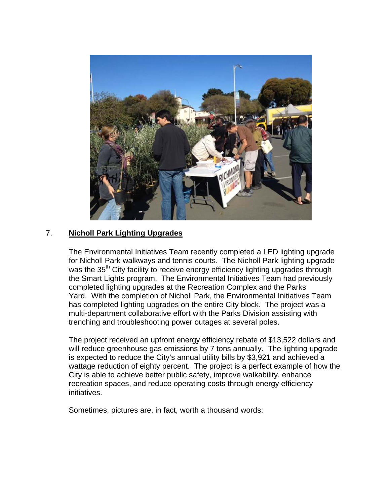

# 7. **Nicholl Park Lighting Upgrades**

The Environmental Initiatives Team recently completed a LED lighting upgrade for Nicholl Park walkways and tennis courts. The Nicholl Park lighting upgrade was the 35<sup>th</sup> City facility to receive energy efficiency lighting upgrades through the Smart Lights program. The Environmental Initiatives Team had previously completed lighting upgrades at the Recreation Complex and the Parks Yard. With the completion of Nicholl Park, the Environmental Initiatives Team has completed lighting upgrades on the entire City block. The project was a multi-department collaborative effort with the Parks Division assisting with trenching and troubleshooting power outages at several poles.

The project received an upfront energy efficiency rebate of \$13,522 dollars and will reduce greenhouse gas emissions by 7 tons annually. The lighting upgrade is expected to reduce the City's annual utility bills by \$3,921 and achieved a wattage reduction of eighty percent. The project is a perfect example of how the City is able to achieve better public safety, improve walkability, enhance recreation spaces, and reduce operating costs through energy efficiency initiatives.

Sometimes, pictures are, in fact, worth a thousand words: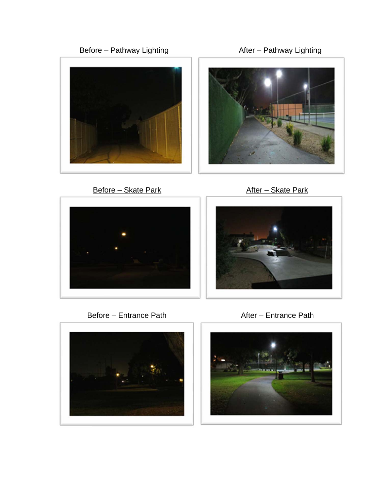







Before – Skate Park **After – Skate Park** 





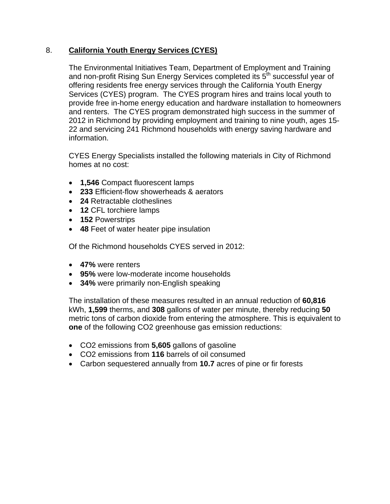# 8. **California Youth Energy Services (CYES)**

The Environmental Initiatives Team, Department of Employment and Training and non-profit Rising Sun Energy Services completed its 5th successful year of offering residents free energy services through the California Youth Energy Services (CYES) program. The CYES program hires and trains local youth to provide free in-home energy education and hardware installation to homeowners and renters. The CYES program demonstrated high success in the summer of 2012 in Richmond by providing employment and training to nine youth, ages 15- 22 and servicing 241 Richmond households with energy saving hardware and information.

CYES Energy Specialists installed the following materials in City of Richmond homes at no cost:

- **1,546** Compact fluorescent lamps
- **233** Efficient-flow showerheads & aerators
- **24** Retractable clotheslines
- **12** CFL torchiere lamps
- **152** Powerstrips
- **48** Feet of water heater pipe insulation

Of the Richmond households CYES served in 2012:

- **47%** were renters
- **95%** were low-moderate income households
- **34%** were primarily non-English speaking

The installation of these measures resulted in an annual reduction of **60,816**  kWh, **1,599** therms, and **308** gallons of water per minute, thereby reducing **50**  metric tons of carbon dioxide from entering the atmosphere. This is equivalent to **one** of the following CO2 greenhouse gas emission reductions:

- CO2 emissions from **5,605** gallons of gasoline
- CO2 emissions from **116** barrels of oil consumed
- Carbon sequestered annually from **10.7** acres of pine or fir forests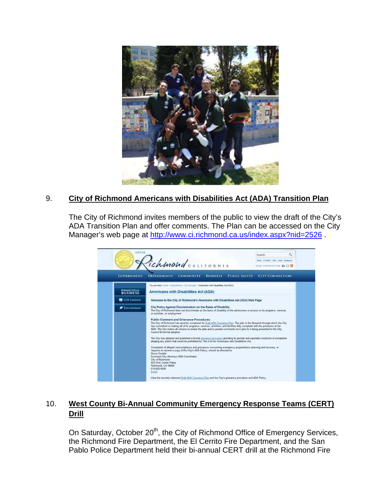

# 9. **City of Richmond Americans with Disabilities Act (ADA) Transition Plan**

The City of Richmond invites members of the public to view the draft of the City's ADA Transition Plan and offer comments. The Plan can be accessed on the City Manager's web page at http://www.ci.richmond.ca.us/index.aspx?nid=2526.



# 10. **West County Bi-Annual Community Emergency Response Teams (CERT) Drill**

On Saturday, October 20<sup>th</sup>, the City of Richmond Office of Emergency Services, the Richmond Fire Department, the El Cerrito Fire Department, and the San Pablo Police Department held their bi-annual CERT drill at the Richmond Fire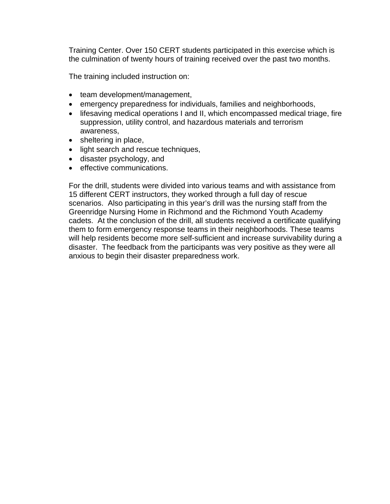Training Center. Over 150 CERT students participated in this exercise which is the culmination of twenty hours of training received over the past two months.

The training included instruction on:

- team development/management,
- emergency preparedness for individuals, families and neighborhoods,
- lifesaving medical operations I and II, which encompassed medical triage, fire suppression, utility control, and hazardous materials and terrorism awareness,
- sheltering in place,
- light search and rescue techniques,
- disaster psychology, and
- **e** effective communications.

For the drill, students were divided into various teams and with assistance from 15 different CERT instructors, they worked through a full day of rescue scenarios. Also participating in this year's drill was the nursing staff from the Greenridge Nursing Home in Richmond and the Richmond Youth Academy cadets. At the conclusion of the drill, all students received a certificate qualifying them to form emergency response teams in their neighborhoods. These teams will help residents become more self-sufficient and increase survivability during a disaster. The feedback from the participants was very positive as they were all anxious to begin their disaster preparedness work.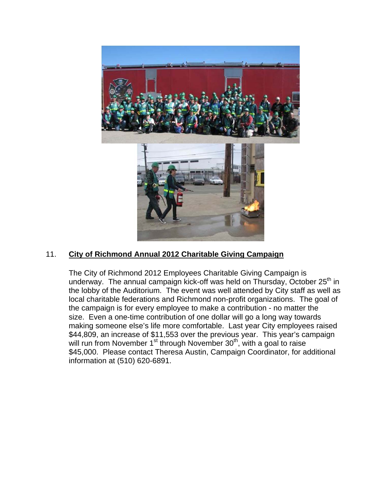

# 11. **City of Richmond Annual 2012 Charitable Giving Campaign**

The City of Richmond 2012 Employees Charitable Giving Campaign is underway. The annual campaign kick-off was held on Thursday, October  $25<sup>th</sup>$  in the lobby of the Auditorium. The event was well attended by City staff as well as local charitable federations and Richmond non-profit organizations. The goal of the campaign is for every employee to make a contribution - no matter the size. Even a one-time contribution of one dollar will go a long way towards making someone else's life more comfortable. Last year City employees raised \$44,809, an increase of \$11,553 over the previous year. This year's campaign will run from November  $1<sup>st</sup>$  through November  $30<sup>th</sup>$ , with a goal to raise \$45,000. Please contact Theresa Austin, Campaign Coordinator, for additional information at (510) 620-6891.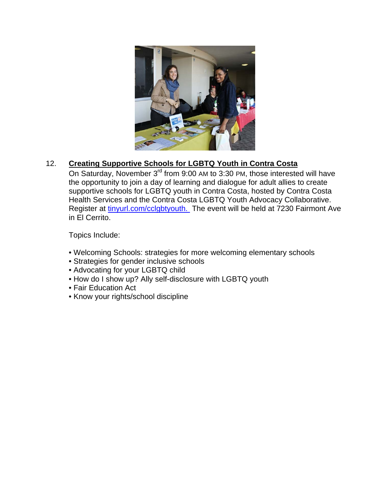

# 12. **Creating Supportive Schools for LGBTQ Youth in Contra Costa**

On Saturday, November 3<sup>rd</sup> from 9:00 AM to 3:30 PM, those interested will have the opportunity to join a day of learning and dialogue for adult allies to create supportive schools for LGBTQ youth in Contra Costa, hosted by Contra Costa Health Services and the Contra Costa LGBTQ Youth Advocacy Collaborative. Register at tinyurl.com/cclgbtyouth. The event will be held at 7230 Fairmont Ave in El Cerrito.

Topics Include:

- Welcoming Schools: strategies for more welcoming elementary schools
- Strategies for gender inclusive schools
- Advocating for your LGBTQ child
- How do I show up? Ally self-disclosure with LGBTQ youth
- Fair Education Act
- Know your rights/school discipline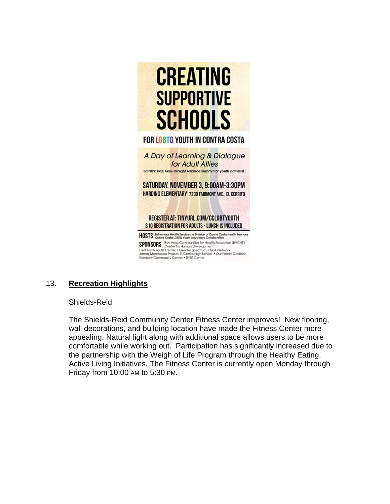

# 13. **Recreation Highlights**

#### Shields-Reid

The Shields-Reid Community Center Fitness Center improves! New flooring, wall decorations, and building location have made the Fitness Center more appealing. Natural light along with additional space allows users to be more comfortable while working out. Participation has significantly increased due to the partnership with the Weigh of Life Program through the Healthy Eating, Active Living Initiatives. The Fitness Center is currently open Monday through Friday from 10:00 AM to 5:30 PM.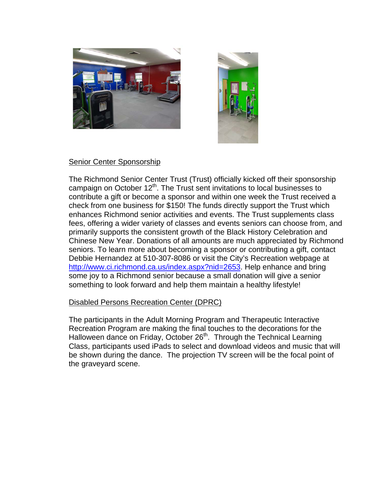



### Senior Center Sponsorship

The Richmond Senior Center Trust (Trust) officially kicked off their sponsorship campaign on October 12<sup>th</sup>. The Trust sent invitations to local businesses to contribute a gift or become a sponsor and within one week the Trust received a check from one business for \$150! The funds directly support the Trust which enhances Richmond senior activities and events. The Trust supplements class fees, offering a wider variety of classes and events seniors can choose from, and primarily supports the consistent growth of the Black History Celebration and Chinese New Year. Donations of all amounts are much appreciated by Richmond seniors. To learn more about becoming a sponsor or contributing a gift, contact Debbie Hernandez at 510-307-8086 or visit the City's Recreation webpage at http://www.ci.richmond.ca.us/index.aspx?nid=2653. Help enhance and bring some joy to a Richmond senior because a small donation will give a senior something to look forward and help them maintain a healthy lifestyle!

### Disabled Persons Recreation Center (DPRC)

The participants in the Adult Morning Program and Therapeutic Interactive Recreation Program are making the final touches to the decorations for the Halloween dance on Friday, October 26<sup>th</sup>. Through the Technical Learning Class, participants used iPads to select and download videos and music that will be shown during the dance. The projection TV screen will be the focal point of the graveyard scene.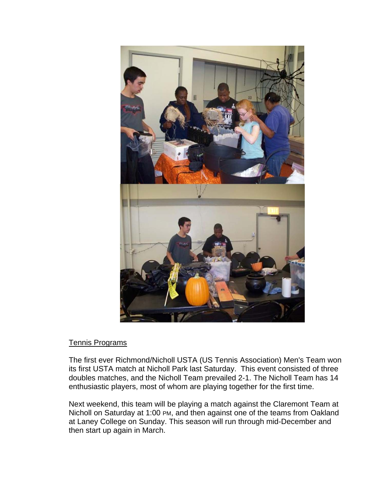

### Tennis Programs

The first ever Richmond/Nicholl USTA (US Tennis Association) Men's Team won its first USTA match at Nicholl Park last Saturday. This event consisted of three doubles matches, and the Nicholl Team prevailed 2-1. The Nicholl Team has 14 enthusiastic players, most of whom are playing together for the first time.

Next weekend, this team will be playing a match against the Claremont Team at Nicholl on Saturday at 1:00 PM, and then against one of the teams from Oakland at Laney College on Sunday. This season will run through mid-December and then start up again in March.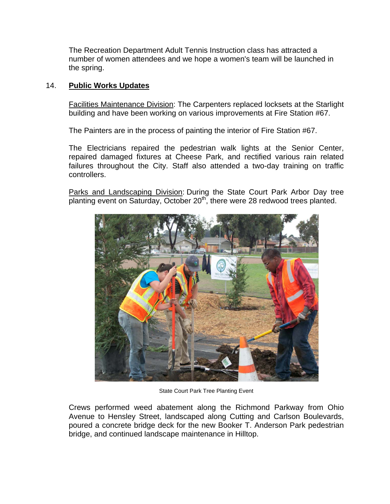The Recreation Department Adult Tennis Instruction class has attracted a number of women attendees and we hope a women's team will be launched in the spring.

### 14. **Public Works Updates**

Facilities Maintenance Division: The Carpenters replaced locksets at the Starlight building and have been working on various improvements at Fire Station #67.

The Painters are in the process of painting the interior of Fire Station #67.

The Electricians repaired the pedestrian walk lights at the Senior Center, repaired damaged fixtures at Cheese Park, and rectified various rain related failures throughout the City. Staff also attended a two-day training on traffic controllers.

Parks and Landscaping Division: During the State Court Park Arbor Day tree planting event on Saturday, October 20<sup>th</sup>, there were 28 redwood trees planted.



State Court Park Tree Planting Event

Crews performed weed abatement along the Richmond Parkway from Ohio Avenue to Hensley Street, landscaped along Cutting and Carlson Boulevards, poured a concrete bridge deck for the new Booker T. Anderson Park pedestrian bridge, and continued landscape maintenance in Hilltop.